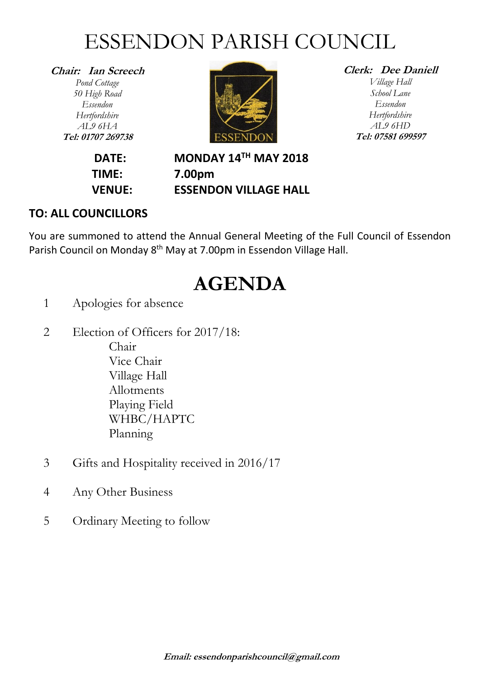## ESSENDON PARISH COUNCIL

**Chair: Ian Screech** *Pond Cottage 50 High Road Essendon Hertfordshire AL9 6HA* **Tel: 01707 269738**



#### **Clerk: Dee Daniell**

*Village Hall School Lane Essendon Hertfordshire AL9 6HD* **Tel: 07581 699597**

**DATE: MONDAY 14TH MAY 2018 TIME: 7.00pm VENUE: ESSENDON VILLAGE HALL**

### **TO: ALL COUNCILLORS**

You are summoned to attend the Annual General Meeting of the Full Council of Essendon Parish Council on Monday 8<sup>th</sup> May at 7.00pm in Essendon Village Hall.

### **AGENDA**

- 1 Apologies for absence
- 2 Election of Officers for 2017/18: Chair Vice Chair Village Hall Allotments Playing Field WHBC/HAPTC Planning
- 3 Gifts and Hospitality received in 2016/17
- 4 Any Other Business
- 5 Ordinary Meeting to follow